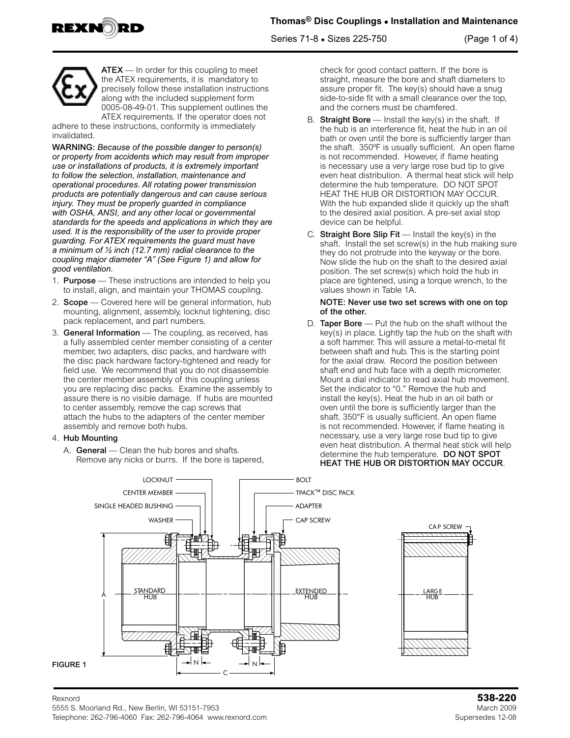





ATEX - In order for this coupling to meet the ATEX requirements, it is mandatory to precisely follow these installation instructions along with the included supplement form 0005-08-49-01. This supplement outlines the ATEX requirements. If the operator does not

adhere to these instructions, conformity is immediately invalidated.

WARNING: *Because of the possible danger to person(s) or property from accidents which may result from improper use or installations of products, it is extremely important to follow the selection, installation, maintenance and operational procedures. All rotating power transmission products are potentially dangerous and can cause serious injury. They must be properly guarded in compliance with OSHA, ANSI, and any other local or governmental standards for the speeds and applications in which they are used. It is the responsibility of the user to provide proper guarding. For ATEX requirements the guard must have a minimum of ½ inch (12.7 mm) radial clearance to the coupling major diameter "A" (See Figure 1) and allow for good ventilation.*

- 1. **Purpose** These instructions are intended to help you to install, align, and maintain your THOMAS coupling.
- 2. **Scope** Covered here will be general information, hub mounting, alignment, assembly, locknut tightening, disc pack replacement, and part numbers.
- 3. General Information The coupling, as received, has a fully assembled center member consisting of a center member, two adapters, disc packs, and hardware with the disc pack hardware factory-tightened and ready for field use. We recommend that you do not disassemble the center member assembly of this coupling unless you are replacing disc packs. Examine the assembly to assure there is no visible damage. If hubs are mounted to center assembly, remove the cap screws that attach the hubs to the adapters of the center member assembly and remove both hubs.

### 4. Hub Mounting

A. General - Clean the hub bores and shafts. Remove any nicks or burrs. If the bore is tapered,

check for good contact pattern. If the bore is straight, measure the bore and shaft diameters to assure proper fit. The key(s) should have a snug side-to-side fit with a small clearance over the top, and the corners must be chamfered.

- B. Straight Bore  $-$  Install the key(s) in the shaft. If the hub is an interference fit, heat the hub in an oil bath or oven until the bore is sufficiently larger than the shaft. 350ºF is usually sufficient. An open flame is not recommended. However, if flame heating is necessary use a very large rose bud tip to give even heat distribution. A thermal heat stick will help determine the hub temperature. DO NOT SPOT HEAT THE HUB OR DISTORTION MAY OCCUR. With the hub expanded slide it quickly up the shaft to the desired axial position. A pre-set axial stop device can be helpful.
- C. Straight Bore Slip  $Fit$  Install the key(s) in the shaft. Install the set screw(s) in the hub making sure they do not protrude into the keyway or the bore. Now slide the hub on the shaft to the desired axial position. The set screw(s) which hold the hub in place are tightened, using a torque wrench, to the values shown in Table 1A.

#### NOTE: Never use two set screws with one on top of the other.

D. Taper Bore - Put the hub on the shaft without the key(s) in place. Lightly tap the hub on the shaft with a soft hammer. This will assure a metal-to-metal fit between shaft and hub. This is the starting point for the axial draw. Record the position between shaft end and hub face with a depth micrometer. Mount a dial indicator to read axial hub movement. Set the indicator to "0." Remove the hub and install the key(s). Heat the hub in an oil bath or oven until the bore is sufficiently larger than the shaft. 350°F is usually sufficient. An open flame is not recommended. However, if flame heating is necessary, use a very large rose bud tip to give even heat distribution. A thermal heat stick will help determine the hub temperature. DO NOT SPOT HEAT THE HUB OR DISTORTION MAY OCCUR.

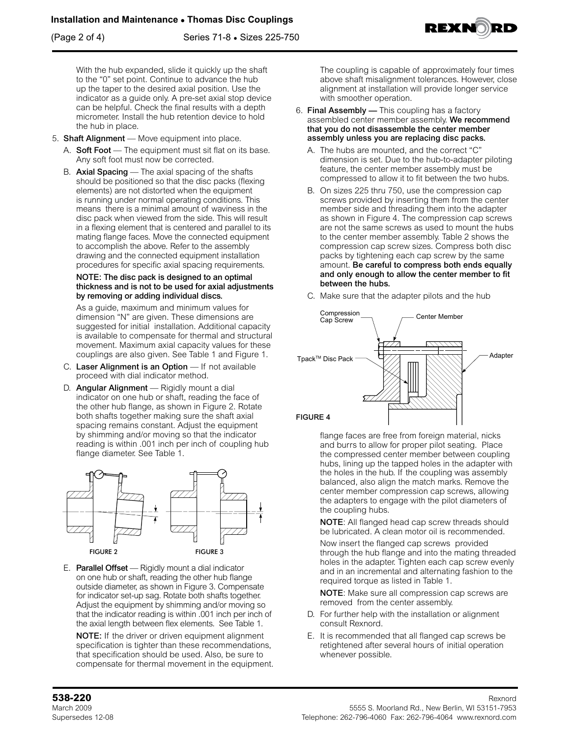(Page 2 of 4) Series 71-8 • Sizes 225-750

With the hub expanded, slide it quickly up the shaft to the "0" set point. Continue to advance the hub up the taper to the desired axial position. Use the indicator as a guide only. A pre-set axial stop device can be helpful. Check the final results with a depth micrometer. Install the hub retention device to hold the hub in place.

- 5. Shaft Alignment Move equipment into place.
	- A. Soft Foot The equipment must sit flat on its base. Any soft foot must now be corrected.
	- B. Axial Spacing The axial spacing of the shafts should be positioned so that the disc packs (flexing elements) are not distorted when the equipment is running under normal operating conditions. This means there is a minimal amount of waviness in the disc pack when viewed from the side. This will result in a flexing element that is centered and parallel to its mating flange faces. Move the connected equipment to accomplish the above. Refer to the assembly drawing and the connected equipment installation procedures for specific axial spacing requirements.

#### NOTE: The disc pack is designed to an optimal thickness and is not to be used for axial adjustments by removing or adding individual discs.

As a guide, maximum and minimum values for dimension "N" are given. These dimensions are suggested for initial installation. Additional capacity is available to compensate for thermal and structural movement. Maximum axial capacity values for these couplings are also given. See Table 1 and Figure 1.

- C. Laser Alignment is an Option If not available proceed with dial indicator method.
- D. Angular Alignment Rigidly mount a dial indicator on one hub or shaft, reading the face of the other hub flange, as shown in Figure 2. Rotate both shafts together making sure the shaft axial spacing remains constant. Adjust the equipment by shimming and/or moving so that the indicator reading is within .001 inch per inch of coupling hub flange diameter. See Table 1.



E. Parallel Offset — Rigidly mount a dial indicator on one hub or shaft, reading the other hub flange outside diameter, as shown in Figure 3. Compensate for indicator set-up sag. Rotate both shafts together. Adjust the equipment by shimming and/or moving so that the indicator reading is within .001 inch per inch of the axial length between flex elements. See Table 1.

NOTE: If the driver or driven equipment alignment specification is tighter than these recommendations, that specification should be used. Also, be sure to compensate for thermal movement in the equipment. The coupling is capable of approximately four times above shaft misalignment tolerances. However, close alignment at installation will provide longer service with smoother operation.

- 6. Final Assembly This coupling has a factory assembled center member assembly. We recommend that you do not disassemble the center member assembly unless you are replacing disc packs.
	- A. The hubs are mounted, and the correct "C" dimension is set. Due to the hub-to-adapter piloting feature, the center member assembly must be compressed to allow it to fit between the two hubs.
	- B. On sizes 225 thru 750, use the compression cap screws provided by inserting them from the center member side and threading them into the adapter as shown in Figure 4. The compression cap screws are not the same screws as used to mount the hubs to the center member assembly. Table 2 shows the compression cap screw sizes. Compress both disc packs by tightening each cap screw by the same amount. Be careful to compress both ends equally and only enough to allow the center member to fit between the hubs.
	- C. Make sure that the adapter pilots and the hub



flange faces are free from foreign material, nicks and burrs to allow for proper pilot seating. Place the compressed center member between coupling hubs, lining up the tapped holes in the adapter with the holes in the hub. If the coupling was assembly balanced, also align the match marks. Remove the center member compression cap screws, allowing the adapters to engage with the pilot diameters of the coupling hubs.

NOTE: All flanged head cap screw threads should be lubricated. A clean motor oil is recommended.

Now insert the flanged cap screws provided through the hub flange and into the mating threaded holes in the adapter. Tighten each cap screw evenly and in an incremental and alternating fashion to the required torque as listed in Table 1.

NOTE: Make sure all compression cap screws are removed from the center assembly.

- D. For further help with the installation or alignment consult Rexnord.
- E. It is recommended that all flanged cap screws be retightened after several hours of initial operation whenever possible.

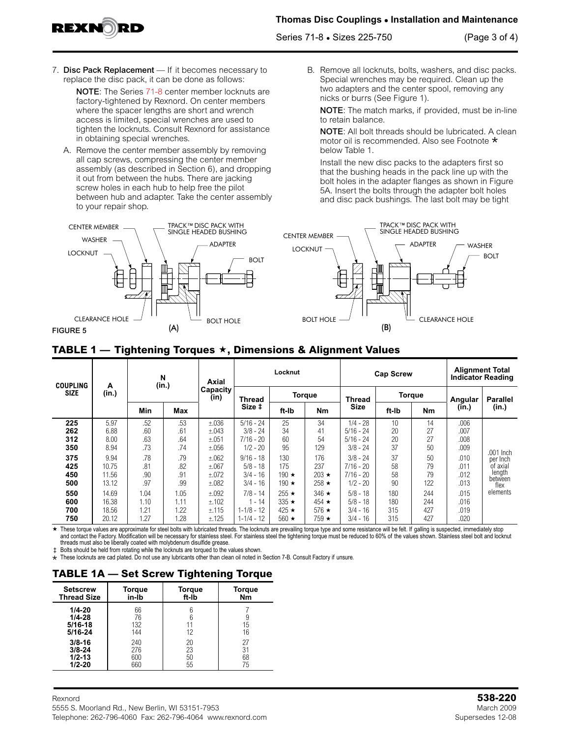EXN

Series 71-8 • Sizes 225-750 (Page 3 of 4)

7. Disc Pack Replacement - If it becomes necessary to replace the disc pack, it can be done as follows:

NOTE: The Series 71-8 center member locknuts are factory-tightened by Rexnord. On center members where the spacer lengths are short and wrench access is limited, special wrenches are used to tighten the locknuts. Consult Rexnord for assistance in obtaining special wrenches.

A. Remove the center member assembly by removing all cap screws, compressing the center member assembly (as described in Section 6), and dropping it out from between the hubs. There are jacking screw holes in each hub to help free the pilot between hub and adapter. Take the center assembly to your repair shop.



B. Remove all locknuts, bolts, washers, and disc packs. Special wrenches may be required. Clean up the two adapters and the center spool, removing any nicks or burrs (See Figure 1).

NOTE: The match marks, if provided, must be in-line to retain balance.

NOTE: All bolt threads should be lubricated. A clean motor oil is recommended. Also see Footnote <mark>\*</mark><br>below Table 1. below Table 1.

Install the new disc packs to the adapters first so that the bushing heads in the pack line up with the bolt holes in the adapter flanges as shown in Figure 5A. Insert the bolts through the adapter bolt holes and disc pack bushings. The last bolt may be tight



## **TABLE 1 — Tightening Torques , Dimensions & Alignment Values**

| <b>COUPLING</b><br><b>SIZE</b> | A<br>(in.)                       | N<br>(in.)                   |                              | Axial                            | Locknut                                                 |                                                          |                                                          | <b>Cap Screw</b>                                       |                          |                          | <b>Alignment Total</b><br><b>Indicator Reading</b> |                                           |  |
|--------------------------------|----------------------------------|------------------------------|------------------------------|----------------------------------|---------------------------------------------------------|----------------------------------------------------------|----------------------------------------------------------|--------------------------------------------------------|--------------------------|--------------------------|----------------------------------------------------|-------------------------------------------|--|
|                                |                                  |                              |                              | Capacity<br>(in)                 | <b>Thread</b>                                           | <b>Torque</b>                                            |                                                          | <b>Thread</b>                                          | <b>Torque</b>            |                          | Angular                                            | <b>Parallel</b>                           |  |
|                                |                                  | Min                          | Max                          |                                  | Size ‡                                                  | ft-Ib                                                    | <b>Nm</b>                                                | <b>Size</b>                                            | ft-Ib                    | <b>Nm</b>                | (in.)                                              | (in.)                                     |  |
| 225<br>262<br>312              | 5.97<br>6.88<br>8.00             | .52<br>.60<br>.63            | .53<br>.61<br>.64            | ±.036<br>±.043<br>±.051          | $5/16 - 24$<br>$3/8 - 24$<br>$7/16 - 20$                | 25<br>34<br>60                                           | 34<br>41<br>54                                           | $1/4 - 28$<br>$5/16 - 24$<br>$5/16 - 24$               | 10<br>20<br>20           | 14<br>27<br>27           | .006<br>.007<br>.008                               |                                           |  |
| 350                            | 8.94                             | .73                          | .74                          | ±.056                            | $1/2 - 20$                                              | 95                                                       | 129                                                      | $3/8 - 24$                                             | 37                       | 50                       | .009                                               | .001 Inch                                 |  |
| 375<br>425<br>450<br>500       | 9.94<br>10.75<br>11.56<br>13.12  | .78<br>.81<br>.90<br>.97     | .79<br>.82<br>.91<br>.99     | ±.062<br>±.067<br>±.072<br>±.082 | $9/16 - 18$<br>$5/8 - 18$<br>$3/4 - 16$<br>$3/4 - 16$   | 130<br>175<br>190 $\star$<br>190 $\star$                 | 176<br>237<br>$203 \star$<br>258 $\star$                 | $3/8 - 24$<br>$7/16 - 20$<br>$7/16 - 20$<br>$1/2 - 20$ | 37<br>58<br>58<br>90     | 50<br>79<br>79<br>122    | .010<br>.011<br>.012<br>.013                       | per Inch<br>of axial<br>length<br>between |  |
| 550<br>600<br>700<br>750       | 14.69<br>16.38<br>18.56<br>20.12 | 1.04<br>1.10<br>1.21<br>1.27 | 1.05<br>1.11<br>1.22<br>1.28 | ±.092<br>±.102<br>±.115<br>±.125 | $7/8 - 14$<br>$-14$<br>$1 - 1/8 - 12$<br>$1 - 1/4 - 12$ | $255 \star$<br>$335 \star$<br>425 $\star$<br>560 $\star$ | $346 \star$<br>$454 \star$<br>576 $\star$<br>$759 \star$ | $5/8 - 18$<br>$5/8 - 18$<br>$3/4 - 16$<br>$3/4 - 16$   | 180<br>180<br>315<br>315 | 244<br>244<br>427<br>427 | .015<br>.016<br>.019<br>.020                       | flex<br>elements                          |  |

★ These torque values are approximate for steel bolts with lubricated threads. The locknuts are prevailing torque type and some resistance will be felt. If galling is suspected, immediately stop and contact the Factory. Modification will be necessary for stainless steel. For stainless steel the tightening torque must be reduced to 60% of the values shown. Stainless steel bolt and locknut threads must also be liberally coated with molybdenum disulfide grease.

‡ Bolts should be held from rotating while the locknuts are torqued to the values shown.

\* These locknuts are cad plated. Do not use any lubricants other than clean oil noted in Section 7-B. Consult Factory if unsure.

# **TABLE 1A — Set Screw Tightening Torque**

| <b>Setscrew</b>                                    | Torque                 | <b>Torque</b> | <b>Torque</b> |
|----------------------------------------------------|------------------------|---------------|---------------|
| <b>Thread Size</b>                                 | in-Ib                  | ft-lb         | <b>Nm</b>     |
| $1/4 - 20$<br>$1/4 - 28$<br>$5/16 - 18$<br>5/16-24 | 66<br>76<br>132<br>144 | 12            | 15<br>16      |
| $3/8 - 16$                                         | 240                    | 20            | 27            |
| $3/8 - 24$                                         | 276                    | 23            | 31            |
| $1/2 - 13$                                         | 600                    | 50            | 68            |
| $1/2 - 20$                                         | 660                    | 55            | 75            |